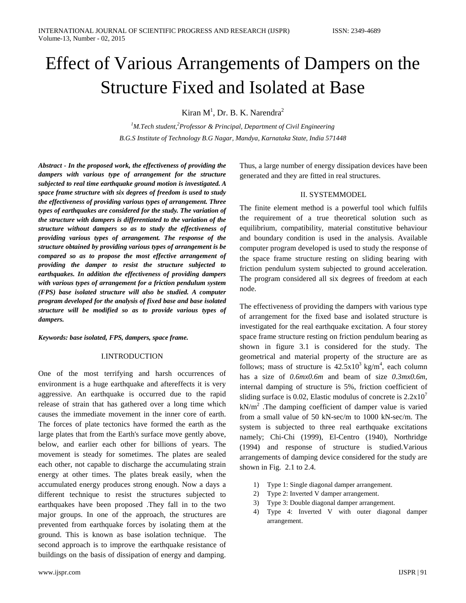# Effect of Various Arrangements of Dampers on the Structure Fixed and Isolated at Base

Kiran  $M<sup>1</sup>$ , Dr. B. K. Narendra<sup>2</sup>

<sup>1</sup>M.Tech student,<sup>2</sup>Professor & Principal, Department of Civil Engineering *B.G.S Institute of Technology B.G Nagar, Mandya, Karnataka State, India 571448*

*Abstract - In the proposed work, the effectiveness of providing the dampers with various type of arrangement for the structure subjected to real time earthquake ground motion is investigated. A space frame structure with six degrees of freedom is used to study the effectiveness of providing various types of arrangement. Three types of earthquakes are considered for the study. The variation of the structure with dampers is differentiated to the variation of the structure without dampers so as to study the effectiveness of providing various types of arrangement. The response of the structure obtained by providing various types of arrangement is be compared so as to propose the most effective arrangement of providing the damper to resist the structure subjected to earthquakes. In addition the effectiveness of providing dampers with various types of arrangement for a friction pendulum system (FPS) base isolated structure will also be studied. A computer program developed for the analysis of fixed base and base isolated structure will be modified so as to provide various types of dampers.*

*Keywords: base isolated, FPS, dampers, space frame.*

# I.INTRODUCTION

One of the most terrifying and harsh occurrences of environment is a huge earthquake and aftereffects it is very aggressive. An earthquake is occurred due to the rapid release of strain that has gathered over a long time which causes the immediate movement in the inner core of earth. The forces of plate tectonics have formed the earth as the large plates that from the Earth's surface move gently above, below, and earlier each other for billions of years. The movement is steady for sometimes. The plates are sealed each other, not capable to discharge the accumulating strain energy at other times. The plates break easily, when the accumulated energy produces strong enough. Now a days a different technique to resist the structures subjected to earthquakes have been proposed .They fall in to the two major groups. In one of the approach, the structures are prevented from earthquake forces by isolating them at the ground. This is known as base isolation technique. The second approach is to improve the earthquake resistance of buildings on the basis of dissipation of energy and damping.

Thus, a large number of energy dissipation devices have been generated and they are fitted in real structures.

### II. SYSTEMMODEL

The finite element method is a powerful tool which fulfils the requirement of a true theoretical solution such as equilibrium, compatibility, material constitutive behaviour and boundary condition is used in the analysis. Available computer program developed is used to study the response of the space frame structure resting on sliding bearing with friction pendulum system subjected to ground acceleration. The program considered all six degrees of freedom at each node.

The effectiveness of providing the dampers with various type of arrangement for the fixed base and isolated structure is investigated for the real earthquake excitation. A four storey space frame structure resting on friction pendulum bearing as shown in figure 3.1 is considered for the study. The geometrical and material property of the structure are as follows; mass of structure is  $42.5x10^3$  kg/m<sup>4</sup>, each column has a size of *0.6mx0.6m* and beam of size *0.3mx0.6m*, internal damping of structure is 5%, friction coefficient of sliding surface is 0.02, Elastic modulus of concrete is  $2.2 \times 10^7$  $kN/m<sup>2</sup>$ . The damping coefficient of damper value is varied from a small value of 50 kN-sec/m to 1000 kN-sec/m. The system is subjected to three real earthquake excitations namely; Chi-Chi (1999), El-Centro (1940), Northridge (1994) and response of structure is studied.Various arrangements of damping device considered for the study are shown in Fig. 2.1 to 2.4.

- 1) Type 1: Single diagonal damper arrangement.
- 2) Type 2: Inverted V damper arrangement.
- 3) Type 3: Double diagonal damper arrangement.
- 4) Type 4: Inverted V with outer diagonal damper arrangement.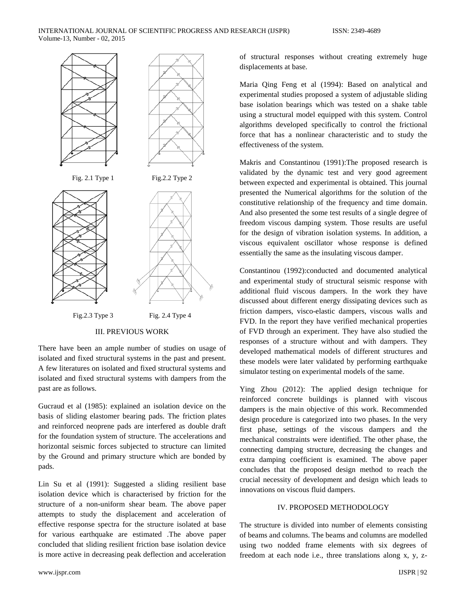

III. PREVIOUS WORK

There have been an ample number of studies on usage of isolated and fixed structural systems in the past and present. A few literatures on isolated and fixed structural systems and isolated and fixed structural systems with dampers from the past are as follows.

Gucraud et al (1985): explained an isolation device on the basis of sliding elastomer bearing pads. The friction plates and reinforced neoprene pads are interfered as double draft for the foundation system of structure. The accelerations and horizontal seismic forces subjected to structure can limited by the Ground and primary structure which are bonded by pads.

Lin Su et al (1991): Suggested a sliding resilient base isolation device which is characterised by friction for the structure of a non-uniform shear beam. The above paper attempts to study the displacement and acceleration of effective response spectra for the structure isolated at base for various earthquake are estimated .The above paper concluded that sliding resilient friction base isolation device is more active in decreasing peak deflection and acceleration

www.ijspr.com IJSPR | 92

of structural responses without creating extremely huge displacements at base.

Maria Qing Feng et al (1994): Based on analytical and experimental studies proposed a system of adjustable sliding base isolation bearings which was tested on a shake table using a structural model equipped with this system. Control algorithms developed specifically to control the frictional force that has a nonlinear characteristic and to study the effectiveness of the system.

Makris and Constantinou (1991):The proposed research is validated by the dynamic test and very good agreement between expected and experimental is obtained. This journal presented the Numerical algorithms for the solution of the constitutive relationship of the frequency and time domain. And also presented the some test results of a single degree of freedom viscous damping system. Those results are useful for the design of vibration isolation systems. In addition, a viscous equivalent oscillator whose response is defined essentially the same as the insulating viscous damper.

Constantinou (1992):conducted and documented analytical and experimental study of structural seismic response with additional fluid viscous dampers. In the work they have discussed about different energy dissipating devices such as friction dampers, visco-elastic dampers, viscous walls and FVD. In the report they have verified mechanical properties of FVD through an experiment. They have also studied the responses of a structure without and with dampers. They developed mathematical models of different structures and these models were later validated by performing earthquake simulator testing on experimental models of the same.

Ying Zhou (2012): The applied design technique for reinforced concrete buildings is planned with viscous dampers is the main objective of this work. Recommended design procedure is categorized into two phases. In the very first phase, settings of the viscous dampers and the mechanical constraints were identified. The other phase, the connecting damping structure, decreasing the changes and extra damping coefficient is examined. The above paper concludes that the proposed design method to reach the crucial necessity of development and design which leads to innovations on viscous fluid dampers.

## IV. PROPOSED METHODOLOGY

The structure is divided into number of elements consisting of beams and columns. The beams and columns are modelled using two nodded frame elements with six degrees of freedom at each node i.e., three translations along x, y, z-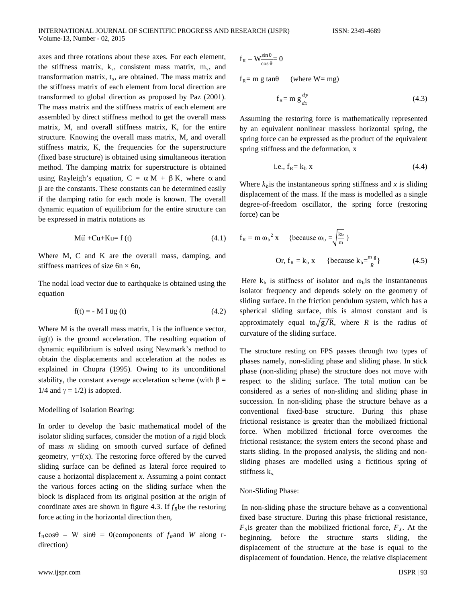axes and three rotations about these axes. For each element, the stiffness matrix,  $k_s$ , consistent mass matrix,  $m_s$ , and transformation matrix,  $t_s$ , are obtained. The mass matrix and the stiffness matrix of each element from local direction are transformed to global direction as proposed by Paz (2001). The mass matrix and the stiffness matrix of each element are assembled by direct stiffness method to get the overall mass matrix, M, and overall stiffness matrix, K, for the entire structure. Knowing the overall mass matrix, M, and overall stiffness matrix, K, the frequencies for the superstructure (fixed base structure) is obtained using simultaneous iteration method. The damping matrix for superstructure is obtained using Rayleigh's equation,  $C = \alpha M + \beta K$ , where  $\alpha$  and β are the constants. These constants can be determined easily if the damping ratio for each mode is known. The overall dynamic equation of equilibrium for the entire structure can be expressed in matrix notations as

$$
\mathbf{M}\ddot{\mathbf{u}} + \mathbf{C}\mathbf{u} + \mathbf{K}\mathbf{u} = \mathbf{f}\left(\mathbf{t}\right) \tag{4.1}
$$

Where M, C and K are the overall mass, damping, and stiffness matrices of size  $6n \times 6n$ ,

The nodal load vector due to earthquake is obtained using the equation

$$
f(t) = -M I \ddot{u}g(t) \tag{4.2}
$$

Where M is the overall mass matrix, I is the influence vector, üg(t) is the ground acceleration. The resulting equation of dynamic equilibrium is solved using Newmark's method to obtain the displacements and acceleration at the nodes as explained in Chopra (1995). Owing to its unconditional stability, the constant average acceleration scheme (with  $\beta =$ 1/4 and  $\gamma = 1/2$ ) is adopted.

Modelling of Isolation Bearing:

In order to develop the basic mathematical model of the isolator sliding surfaces, consider the motion of a rigid block of mass *m* sliding on smooth curved surface of defined geometry,  $y=f(x)$ . The restoring force offered by the curved sliding surface can be defined as lateral force required to cause a horizontal displacement *x*. Assuming a point contact the various forces acting on the sliding surface when the block is displaced from its original position at the origin of coordinate axes are shown in figure 4.3. If  $f_R$ be the restoring force acting in the horizontal direction then,

 $f_R \cos\theta$  – W sin $\theta$  = 0(components of  $f_R$ and *W* along rdirection)

$$
f_R - W_{\frac{\cos \theta}{\cos \theta}}^{\frac{\sin \theta}{\cos \theta}} 0
$$
  
f<sub>R</sub> = m g tan $\theta$  (where W = mg)  

$$
f_R = m g \frac{dy}{dx}
$$
 (4.3)

Assuming the restoring force is mathematically represented by an equivalent nonlinear massless horizontal spring, the spring force can be expressed as the product of the equivalent spring stiffness and the deformation, x

i.e., 
$$
f_R = k_b x \tag{4.4}
$$

Where  $k_b$  is the instantaneous spring stiffness and  $x$  is sliding displacement of the mass. If the mass is modelled as a single degree-of-freedom oscillator, the spring force (restoring force) can be

$$
f_R = m \omega_b^2 x \quad \text{{because } } \omega_b = \sqrt{\frac{k_b}{m}} \text{{}}
$$
  
Or,  $f_R = k_b x \quad \text{{because } } k_b = \frac{mg}{R} \text{{}} \tag{4.5}$ 

Here  $k_b$  is stiffness of isolator and  $\omega_b$  is the instantaneous isolator frequency and depends solely on the geometry of sliding surface. In the friction pendulum system, which has a spherical sliding surface, this is almost constant and is approximately equal to $\sqrt{g/R}$ , where *R* is the radius of curvature of the sliding surface.

The structure resting on FPS passes through two types of phases namely, non-sliding phase and sliding phase. In stick phase (non-sliding phase) the structure does not move with respect to the sliding surface. The total motion can be considered as a series of non-sliding and sliding phase in succession. In non-sliding phase the structure behave as a conventional fixed-base structure. During this phase frictional resistance is greater than the mobilized frictional force. When mobilized frictional force overcomes the frictional resistance; the system enters the second phase and starts sliding. In the proposed analysis, the sliding and nonsliding phases are modelled using a fictitious spring of stiffness  $k_s$ .

### Non-Sliding Phase:

In non-sliding phase the structure behave as a conventional fixed base structure. During this phase frictional resistance,  $F<sub>S</sub>$ is greater than the mobilized frictional force,  $F<sub>X</sub>$ . At the beginning, before the structure starts sliding, the displacement of the structure at the base is equal to the displacement of foundation. Hence, the relative displacement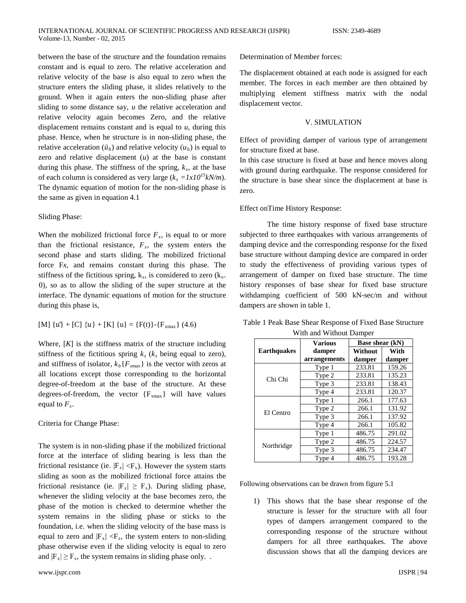between the base of the structure and the foundation remains constant and is equal to zero. The relative acceleration and relative velocity of the base is also equal to zero when the structure enters the sliding phase, it slides relatively to the ground. When it again enters the non-sliding phase after sliding to some distance say, *u* the relative acceleration and relative velocity again becomes Zero, and the relative displacement remains constant and is equal to *u*, during this phase. Hence, when he structure is in non-sliding phase, the relative acceleration  $(i<sub>b</sub>)$  and relative velocity  $(i<sub>b</sub>)$  is equal to zero and relative displacement  $(u)$  at the base is constant during this phase. The stiffness of the spring,  $k_s$ , at the base of each column is considered as very large  $(k_s = 1x10^{15}kN/m)$ . The dynamic equation of motion for the non-sliding phase is the same as given in equation 4.1

## Sliding Phase:

When the mobilized frictional force  $F_x$ , is equal to or more than the frictional resistance,  $F_s$ , the system enters the second phase and starts sliding. The mobilized frictional force F*x*, and remains constant during this phase. The stiffness of the fictitious spring,  $k_s$ , is considered to zero ( $k_{s=}$ 0), so as to allow the sliding of the super structure at the interface. The dynamic equations of motion for the structure during this phase is,

[M] 
$$
\{u\}
$$
 + [C]  $\{u\}$  + [K]  $\{u\}$  = {F(t)}-{F<sub>xmax</sub>}(4.6)

Where,  $[K]$  is the stiffness matrix of the structure including stiffness of the fictitious spring  $k_s$  ( $k_s$  being equal to zero), and stiffness of isolator,  $k_b\{F_{xmax}\}\$ is the vector with zeros at all locations except those corresponding to the horizontal degree-of-freedom at the base of the structure. At these degrees-of-freedom, the vector  ${F_{xmax}}$  will have values equal to  $F_s$ .

Criteria for Change Phase:

The system is in non-sliding phase if the mobilized frictional force at the interface of sliding bearing is less than the frictional resistance (ie.  $|F_r| \langle F_s|$ ). However the system starts sliding as soon as the mobilized frictional force attains the frictional resistance (ie.  $|F_x| \ge F_s$ ). During sliding phase, whenever the sliding velocity at the base becomes zero, the phase of the motion is checked to determine whether the system remains in the sliding phase or sticks to the foundation, i.e. when the sliding velocity of the base mass is equal to zero and  $|F_x| < F_s$ , the system enters to non-sliding phase otherwise even if the sliding velocity is equal to zero and  $|F_x| \ge F_s$ , the system remains in sliding phase only...

Determination of Member forces:

The displacement obtained at each node is assigned for each member. The forces in each member are then obtained by multiplying element stiffness matrix with the nodal displacement vector.

#### V. SIMULATION

Effect of providing damper of various type of arrangement for structure fixed at base.

In this case structure is fixed at base and hence moves along with ground during earthquake. The response considered for the structure is base shear since the displacement at base is zero.

### Effect onTime History Response:

The time history response of fixed base structure subjected to three earthquakes with various arrangements of damping device and the corresponding response for the fixed base structure without damping device are compared in order to study the effectiveness of providing various types of arrangement of damper on fixed base structure. The time history responses of base shear for fixed base structure withdamping coefficient of 500 kN-sec/m and without dampers are shown in table 1.

|                    | <b>Various</b> | Base shear (kN) |        |  |
|--------------------|----------------|-----------------|--------|--|
| <b>Earthquakes</b> | damper         | Without         | With   |  |
|                    | arrangements   | damper          | damper |  |
| Chi Chi            | Type 1         | 233.81          | 159.26 |  |
|                    | Type 2         | 233.81          | 135.23 |  |
|                    | Type 3         | 233.81          | 138.43 |  |
|                    | Type 4         | 233.81          | 120.37 |  |
| El Centro          | Type 1         | 266.1           | 177.63 |  |
|                    | Type 2         | 266.1           | 131.92 |  |
|                    | Type 3         | 266.1           | 137.92 |  |
|                    | Type 4         | 266.1           | 105.82 |  |
| Northridge         | Type 1         | 486.75          | 291.02 |  |
|                    | Type 2         | 486.75          | 224.57 |  |
|                    | Type 3         | 486.75          | 234.47 |  |
|                    | Type 4         | 486.75          | 193.28 |  |

Table 1 Peak Base Shear Response of Fixed Base Structure With and Without Damper

Following observations can be drawn from figure 5.1

1) This shows that the base shear response of the structure is lesser for the structure with all four types of dampers arrangement compared to the corresponding response of the structure without dampers for all three earthquakes. The above discussion shows that all the damping devices are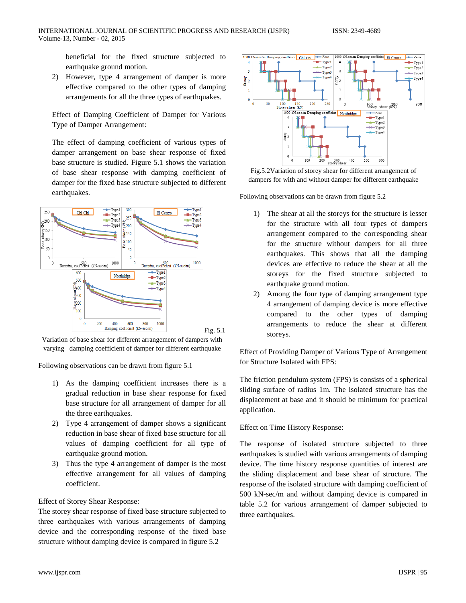beneficial for the fixed structure subjected to earthquake ground motion.

2) However, type 4 arrangement of damper is more effective compared to the other types of damping arrangements for all the three types of earthquakes.

Effect of Damping Coefficient of Damper for Various Type of Damper Arrangement:

The effect of damping coefficient of various types of damper arrangement on base shear response of fixed base structure is studied. Figure 5.1 shows the variation of base shear response with damping coefficient of damper for the fixed base structure subjected to different earthquakes.



Variation of base shear for different arrangement of dampers with varying damping coefficient of damper for different earthquake

Following observations can be drawn from figure 5.1

- 1) As the damping coefficient increases there is a gradual reduction in base shear response for fixed base structure for all arrangement of damper for all the three earthquakes.
- 2) Type 4 arrangement of damper shows a significant reduction in base shear of fixed base structure for all values of damping coefficient for all type of earthquake ground motion.
- 3) Thus the type 4 arrangement of damper is the most effective arrangement for all values of damping coefficient.

## Effect of Storey Shear Response:

The storey shear response of fixed base structure subjected to three earthquakes with various arrangements of damping device and the corresponding response of the fixed base structure without damping device is compared in figure 5.2





Following observations can be drawn from figure 5.2

- 1) The shear at all the storeys for the structure is lesser for the structure with all four types of dampers arrangement compared to the corresponding shear for the structure without dampers for all three earthquakes. This shows that all the damping devices are effective to reduce the shear at all the storeys for the fixed structure subjected to earthquake ground motion.
- 2) Among the four type of damping arrangement type 4 arrangement of damping device is more effective compared to the other types of damping arrangements to reduce the shear at different storeys.

Effect of Providing Damper of Various Type of Arrangement for Structure Isolated with FPS:

The friction pendulum system (FPS) is consists of a spherical sliding surface of radius 1m. The isolated structure has the displacement at base and it should be minimum for practical application.

## Effect on Time History Response:

The response of isolated structure subjected to three earthquakes is studied with various arrangements of damping device. The time history response quantities of interest are the sliding displacement and base shear of structure. The response of the isolated structure with damping coefficient of 500 kN-sec/m and without damping device is compared in table 5.2 for various arrangement of damper subjected to three earthquakes.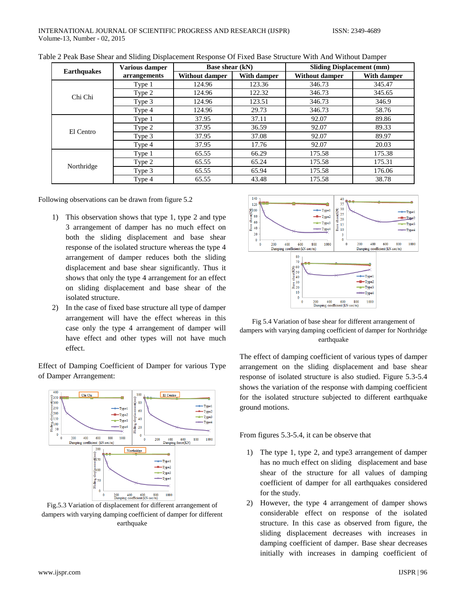| <b>Earthquakes</b> | <b>Various damper</b> | <b>Base shear (kN)</b> |             | <b>Sliding Displacement (mm)</b> |             |
|--------------------|-----------------------|------------------------|-------------|----------------------------------|-------------|
|                    | arrangements          | <b>Without damper</b>  | With damper | <b>Without damper</b>            | With damper |
| Chi Chi            | Type 1                | 124.96                 | 123.36      | 346.73                           | 345.47      |
|                    | Type 2                | 124.96                 | 122.32      | 346.73                           | 345.65      |
|                    | Type 3                | 124.96                 | 123.51      | 346.73                           | 346.9       |
|                    | Type 4                | 124.96                 | 29.73       | 346.73                           | 58.76       |
| El Centro          | Type 1                | 37.95                  | 37.11       | 92.07                            | 89.86       |
|                    | Type 2                | 37.95                  | 36.59       | 92.07                            | 89.33       |
|                    | Type 3                | 37.95                  | 37.08       | 92.07                            | 89.97       |
|                    | Type 4                | 37.95                  | 17.76       | 92.07                            | 20.03       |
| Northridge         | Type 1                | 65.55                  | 66.29       | 175.58                           | 175.38      |
|                    | Type 2                | 65.55                  | 65.24       | 175.58                           | 175.31      |
|                    | Type 3                | 65.55                  | 65.94       | 175.58                           | 176.06      |
|                    | Type 4                | 65.55                  | 43.48       | 175.58                           | 38.78       |

Table 2 Peak Base Shear and Sliding Displacement Response Of Fixed Base Structure With And Without Damper

Following observations can be drawn from figure 5.2

- 1) This observation shows that type 1, type 2 and type 3 arrangement of damper has no much effect on both the sliding displacement and base shear response of the isolated structure whereas the type 4 arrangement of damper reduces both the sliding displacement and base shear significantly. Thus it shows that only the type 4 arrangement for an effect on sliding displacement and base shear of the isolated structure.
- 2) In the case of fixed base structure all type of damper arrangement will have the effect whereas in this case only the type 4 arrangement of damper will have effect and other types will not have much effect.

Effect of Damping Coefficient of Damper for various Type of Damper Arrangement:



Fig.5.3 Variation of displacement for different arrangement of dampers with varying damping coefficient of damper for different earthquake



Fig 5.4 Variation of base shear for different arrangement of dampers with varying damping coefficient of damper for Northridge earthquake

The effect of damping coefficient of various types of damper arrangement on the sliding displacement and base shear response of isolated structure is also studied. Figure 5.3-5.4 shows the variation of the response with damping coefficient for the isolated structure subjected to different earthquake ground motions.

From figures 5.3-5.4, it can be observe that

- 1) The type 1, type 2, and type3 arrangement of damper has no much effect on sliding displacement and base shear of the structure for all values of damping coefficient of damper for all earthquakes considered for the study.
- 2) However, the type 4 arrangement of damper shows considerable effect on response of the isolated structure. In this case as observed from figure, the sliding displacement decreases with increases in damping coefficient of damper. Base shear decreases initially with increases in damping coefficient of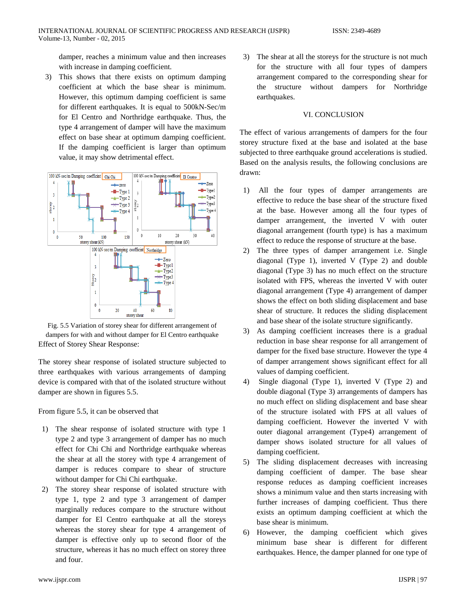damper, reaches a minimum value and then increases with increase in damping coefficient.

3) This shows that there exists on optimum damping coefficient at which the base shear is minimum. However, this optimum damping coefficient is same for different earthquakes. It is equal to 500kN-Sec/m for El Centro and Northridge earthquake. Thus, the type 4 arrangement of damper will have the maximum effect on base shear at optimum damping coefficient. If the damping coefficient is larger than optimum value, it may show detrimental effect.



Fig. 5.5 Variation of storey shear for different arrangement of dampers for with and without damper for El Centro earthquake Effect of Storey Shear Response:

The storey shear response of isolated structure subjected to three earthquakes with various arrangements of damping device is compared with that of the isolated structure without damper are shown in figures 5.5.

From figure 5.5, it can be observed that

- 1) The shear response of isolated structure with type 1 type 2 and type 3 arrangement of damper has no much effect for Chi Chi and Northridge earthquake whereas the shear at all the storey with type 4 arrangement of damper is reduces compare to shear of structure without damper for Chi Chi earthquake.
- 2) The storey shear response of isolated structure with type 1, type 2 and type 3 arrangement of damper marginally reduces compare to the structure without damper for El Centro earthquake at all the storeys whereas the storey shear for type 4 arrangement of damper is effective only up to second floor of the structure, whereas it has no much effect on storey three and four.

3) The shear at all the storeys for the structure is not much for the structure with all four types of dampers arrangement compared to the corresponding shear for the structure without dampers for Northridge earthquakes.

## VI. CONCLUSION

The effect of various arrangements of dampers for the four storey structure fixed at the base and isolated at the base subjected to three earthquake ground accelerations is studied. Based on the analysis results, the following conclusions are drawn:

- 1) All the four types of damper arrangements are effective to reduce the base shear of the structure fixed at the base. However among all the four types of damper arrangement, the inverted V with outer diagonal arrangement (fourth type) is has a maximum effect to reduce the response of structure at the base.
- 2) The three types of damper arrangement i.e. Single diagonal (Type 1), inverted V (Type 2) and double diagonal (Type 3) has no much effect on the structure isolated with FPS, whereas the inverted V with outer diagonal arrangement (Type 4) arrangement of damper shows the effect on both sliding displacement and base shear of structure. It reduces the sliding displacement and base shear of the isolate structure significantly.
- 3) As damping coefficient increases there is a gradual reduction in base shear response for all arrangement of damper for the fixed base structure. However the type 4 of damper arrangement shows significant effect for all values of damping coefficient.
- 4) Single diagonal (Type 1), inverted V (Type 2) and double diagonal (Type 3) arrangements of dampers has no much effect on sliding displacement and base shear of the structure isolated with FPS at all values of damping coefficient. However the inverted V with outer diagonal arrangement (Type4) arrangement of damper shows isolated structure for all values of damping coefficient.
- 5) The sliding displacement decreases with increasing damping coefficient of damper. The base shear response reduces as damping coefficient increases shows a minimum value and then starts increasing with further increases of damping coefficient. Thus there exists an optimum damping coefficient at which the base shear is minimum.
- 6) However, the damping coefficient which gives minimum base shear is different for different earthquakes. Hence, the damper planned for one type of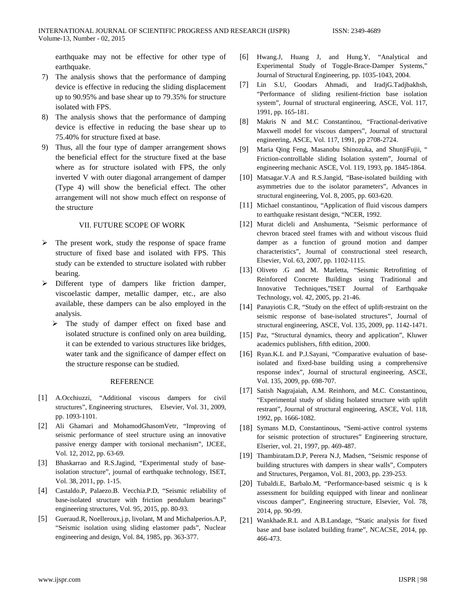earthquake may not be effective for other type of earthquake.

- 7) The analysis shows that the performance of damping device is effective in reducing the sliding displacement up to 90.95% and base shear up to 79.35% for structure isolated with FPS.
- 8) The analysis shows that the performance of damping device is effective in reducing the base shear up to 75.40% for structure fixed at base.
- 9) Thus, all the four type of damper arrangement shows the beneficial effect for the structure fixed at the base where as for structure isolated with FPS, the only inverted V with outer diagonal arrangement of damper (Type 4) will show the beneficial effect. The other arrangement will not show much effect on response of the structure

## VII. FUTURE SCOPE OF WORK

- The present work, study the response of space frame structure of fixed base and isolated with FPS. This study can be extended to structure isolated with rubber bearing.
- Different type of dampers like friction damper, viscoelastic damper, metallic damper, etc., are also available, these dampers can be also employed in the analysis.
	- > The study of damper effect on fixed base and isolated structure is confined only on area building, it can be extended to various structures like bridges, water tank and the significance of damper effect on the structure response can be studied.

#### REFERENCE

- [1] A.Occhiuzzi, "Additional viscous dampers for civil structures", Engineering structures, Elsevier, Vol. 31, 2009, pp. 1093-1101.
- [2] Ali Ghamari and MohamodGhasomVetr, "Improving of seismic performance of steel structure using an innovative passive energy damper with torsional mechanism", IJCEE, Vol. 12, 2012, pp. 63-69.
- [3] Bhaskarrao and R.S.Jagind, "Experimental study of baseisolation structure", journal of earthquake technology, ISET, Vol. 38, 2011, pp. 1-15.
- [4] Castaldo.P, Palaezo.B. Vecchia.P.D, "Seismic reliability of base-isolated structure with friction pendulum bearings" engineering structures, Vol. 95, 2015, pp. 80-93.
- [5] Gueraud.R, Noelleroux.j.p, livolant, M and Michalperios.A.P, "Seismic isolation using sliding elastomer pads", Nuclear engineering and design, Vol. 84, 1985, pp. 363-377.
- [6] Hwang.J, Huang J, and Hung.Y, "Analytical and Experimental Study of Toggle-Brace-Damper Systems," Journal of Structural Engineering, pp. 1035-1043, 2004.
- [7] Lin S.U, Goodars Ahmadi, and IradjG.Tadjbakhsh, "Performance of sliding resilient-friction base isolation system", Journal of structural engineering, ASCE, Vol. 117, 1991, pp. 165-181.
- [8] Makris N and M.C Constantinou, "Fractional-derivative Maxwell model for viscous dampers", Journal of structural engineering, ASCE, Vol. 117, 1991, pp 2708-2724.
- [9] Maria Qing Feng, Masanobu Shinozuka, and ShunjiFujii, " Friction-controllable sliding Isolation system", Journal of engineering mechanic ASCE, Vol. 119, 1993, pp. 1845-1864.
- [10] Matsagar. V.A and R.S. Jangid, "Base-isolated building with asymmetries due to the isolator parameters", Advances in structural engineering, Vol. 8, 2005, pp. 603-620.
- [11] Michael constantinou, "Application of fluid viscous dampers to earthquake resistant design, "NCER, 1992.
- [12] Murat dicleli and Anshumenta, "Seismic performance of chevron braced steel frames with and without viscous fluid damper as a function of ground motion and damper characteristics", Journal of constructional steel research, Elsevier, Vol. 63, 2007, pp. 1102-1115.
- [13] Oliveto .G and M. Marletta, "Seismic Retrofitting of Reinforced Concrete Buildings using Traditional and Innovative Techniques,"ISET Journal of Earthquake Technology, vol. 42, 2005, pp. 21-46.
- [14] Panayiotis C.R, "Study on the effect of uplift-restraint on the seismic response of base-isolated structures", Journal of structural engineering, ASCE, Vol. 135, 2009, pp. 1142-1471.
- [15] Paz, "Structural dynamics, theory and application", Kluwer academics publishers, fifth edition, 2000.
- [16] Ryan.K.L and P.J.Sayani, "Comparative evaluation of baseisolated and fixed-base building using a comprehensive response index", Journal of structural engineering, ASCE, Vol. 135, 2009, pp. 698-707.
- [17] Satish Nagrajaiah, A.M. Reinhorn, and M.C. Constantinou, "Experimental study of sliding Isolated structure with uplift restrant", Journal of structural engineering, ASCE, Vol. 118, 1992, pp. 1666-1082.
- [18] Symans M.D, Constantinous, "Semi-active control systems for seismic protection of structures" Engineering structure, Elserier, vol. 21, 1997, pp. 469-487.
- [19] Thambiratam.D.P, Perera N.J, Madsen, "Seismic response of building structures with dampers in shear walls", Computers and Structures, Pergamon, Vol. 81, 2003, pp. 239-253.
- [20] Tubaldi.E, Barbalo.M, "Performance-based seismic q is k assessment for building equipped with linear and nonlinear viscous damper", Engineering structure, Elsevier, Vol. 78, 2014, pp. 90-99.
- [21] Wankhade.R.L and A.B.Landage, "Static analysis for fixed base and base isolated building frame", NCACSE, 2014, pp. 466-473.